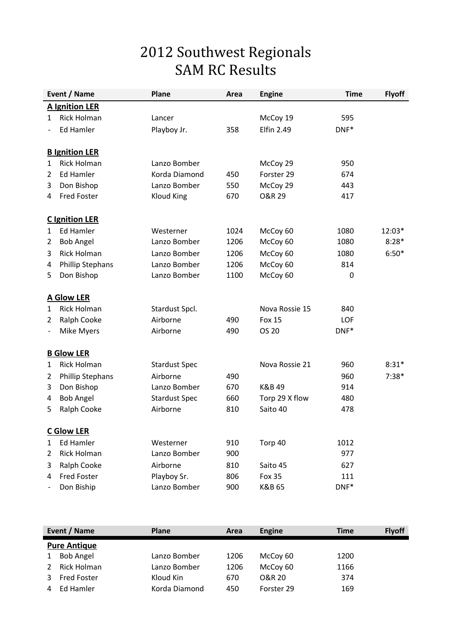## 2012 Southwest Regionals SAM RC Results

|                          | Event / Name            | Plane                | Area | <b>Engine</b>     | <b>Time</b> | <b>Flyoff</b> |  |  |  |
|--------------------------|-------------------------|----------------------|------|-------------------|-------------|---------------|--|--|--|
|                          | <b>A Ignition LER</b>   |                      |      |                   |             |               |  |  |  |
| $\mathbf{1}$             | <b>Rick Holman</b>      | Lancer               |      | McCoy 19          | 595         |               |  |  |  |
|                          | <b>Ed Hamler</b>        | Playboy Jr.          | 358  | <b>Elfin 2.49</b> | DNF*        |               |  |  |  |
|                          | <b>B</b> Ignition LER   |                      |      |                   |             |               |  |  |  |
| 1                        | <b>Rick Holman</b>      | Lanzo Bomber         |      | McCoy 29          | 950         |               |  |  |  |
| $\overline{2}$           | Ed Hamler               | Korda Diamond        | 450  | Forster 29        | 674         |               |  |  |  |
| 3                        | Don Bishop              | Lanzo Bomber         | 550  | McCoy 29          | 443         |               |  |  |  |
| 4                        | <b>Fred Foster</b>      | <b>Kloud King</b>    | 670  | <b>O&amp;R 29</b> | 417         |               |  |  |  |
|                          | <b>C</b> Ignition LER   |                      |      |                   |             |               |  |  |  |
| 1                        | <b>Ed Hamler</b>        | Westerner            | 1024 | McCoy 60          | 1080        | 12:03*        |  |  |  |
| $\overline{2}$           | <b>Bob Angel</b>        | Lanzo Bomber         | 1206 | McCoy 60          | 1080        | $8:28*$       |  |  |  |
| 3                        | <b>Rick Holman</b>      | Lanzo Bomber         | 1206 | McCoy 60          | 1080        | $6:50*$       |  |  |  |
| 4                        | <b>Phillip Stephans</b> | Lanzo Bomber         | 1206 | McCoy 60          | 814         |               |  |  |  |
| 5                        | Don Bishop              | Lanzo Bomber         | 1100 | McCoy 60          | 0           |               |  |  |  |
|                          | <b>A Glow LER</b>       |                      |      |                   |             |               |  |  |  |
| 1                        | <b>Rick Holman</b>      | Stardust Spcl.       |      | Nova Rossie 15    | 840         |               |  |  |  |
| 2                        | Ralph Cooke             | Airborne             | 490  | <b>Fox 15</b>     | LOF         |               |  |  |  |
| $\overline{\phantom{0}}$ | Mike Myers              | Airborne             | 490  | OS 20             | DNF*        |               |  |  |  |
|                          | <b>B Glow LER</b>       |                      |      |                   |             |               |  |  |  |
| $\mathbf{1}$             | <b>Rick Holman</b>      | <b>Stardust Spec</b> |      | Nova Rossie 21    | 960         | $8:31*$       |  |  |  |
| 2                        | <b>Phillip Stephans</b> | Airborne             | 490  |                   | 960         | $7:38*$       |  |  |  |
| 3                        | Don Bishop              | Lanzo Bomber         | 670  | K&B 49            | 914         |               |  |  |  |
| 4                        | <b>Bob Angel</b>        | <b>Stardust Spec</b> | 660  | Torp 29 X flow    | 480         |               |  |  |  |
| 5                        | Ralph Cooke             | Airborne             | 810  | Saito 40          | 478         |               |  |  |  |
|                          | <u>C Glow LER</u>       |                      |      |                   |             |               |  |  |  |
| 1                        | Ed Hamler               | Westerner            | 910  | Torp 40           | 1012        |               |  |  |  |
| 2                        | <b>Rick Holman</b>      | Lanzo Bomber         | 900  |                   | 977         |               |  |  |  |
| 3                        | Ralph Cooke             | Airborne             | 810  | Saito 45          | 627         |               |  |  |  |
| 4                        | <b>Fred Foster</b>      | Playboy Sr.          | 806  | <b>Fox 35</b>     | 111         |               |  |  |  |
|                          | Don Biship              | Lanzo Bomber         | 900  | K&B 65            | $DNF*$      |               |  |  |  |

| Event / Name |                     | <b>Plane</b>  | Area | Engine     | <b>Time</b> | <b>Flyoff</b> |
|--------------|---------------------|---------------|------|------------|-------------|---------------|
|              | <b>Pure Antique</b> |               |      |            |             |               |
|              | <b>Bob Angel</b>    | Lanzo Bomber  | 1206 | McCoy 60   | 1200        |               |
|              | Rick Holman         | Lanzo Bomber  | 1206 | McCoy 60   | 1166        |               |
|              | Fred Foster         | Kloud Kin     | 670  | O&R 20     | 374         |               |
|              | Ed Hamler           | Korda Diamond | 450  | Forster 29 | 169         |               |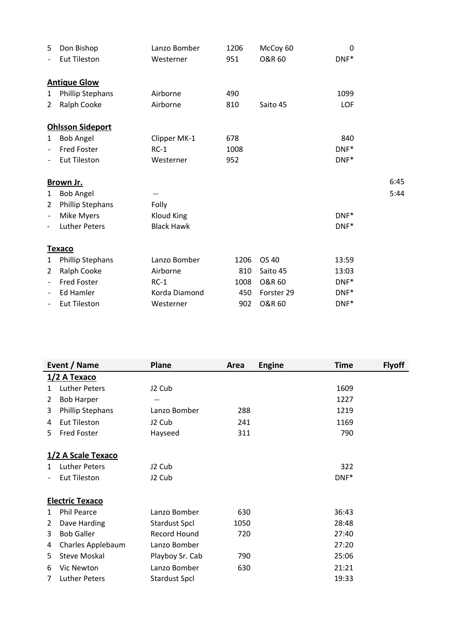| 5                 | Don Bishop              | Lanzo Bomber      | 1206 | McCoy 60          | 0       |      |
|-------------------|-------------------------|-------------------|------|-------------------|---------|------|
|                   | <b>Eut Tileston</b>     | Westerner         | 951  | <b>O&amp;R 60</b> | DNF*    |      |
|                   | <b>Antique Glow</b>     |                   |      |                   |         |      |
| $\mathbf{1}$      | Phillip Stephans        | Airborne          | 490  |                   | 1099    |      |
| $\overline{2}$    | Ralph Cooke             | Airborne          | 810  | Saito 45          | LOF     |      |
|                   | <b>Ohlsson Sideport</b> |                   |      |                   |         |      |
| $\mathbf{1}$      | <b>Bob Angel</b>        | Clipper MK-1      | 678  |                   | 840     |      |
| $\overline{a}$    | <b>Fred Foster</b>      | $RC-1$            | 1008 |                   | $DNF^*$ |      |
|                   | <b>Eut Tileston</b>     | Westerner         | 952  |                   | DNF*    |      |
|                   | Brown Jr.               |                   |      |                   |         | 6:45 |
| $\mathbf{1}$      | <b>Bob Angel</b>        |                   |      |                   |         | 5:44 |
| $\overline{2}$    | Phillip Stephans        | Folly             |      |                   |         |      |
| $\overline{a}$    | Mike Myers              | <b>Kloud King</b> |      |                   | DNF*    |      |
|                   | <b>Luther Peters</b>    | <b>Black Hawk</b> |      |                   | DNF*    |      |
|                   | <b>Texaco</b>           |                   |      |                   |         |      |
| 1                 | <b>Phillip Stephans</b> | Lanzo Bomber      | 1206 | OS 40             | 13:59   |      |
| 2                 | Ralph Cooke             | Airborne          | 810  | Saito 45          | 13:03   |      |
| $\qquad \qquad -$ | Fred Foster             | $RC-1$            | 1008 | <b>O&amp;R 60</b> | $DNF^*$ |      |
|                   | Ed Hamler               | Korda Diamond     | 450  | Forster 29        | DNF*    |      |
|                   | <b>Eut Tileston</b>     | Westerner         | 902  | <b>O&amp;R 60</b> | DNF*    |      |

| Event / Name |                         | Plane                | Area | <b>Engine</b> | <b>Time</b> | <b>Flyoff</b> |  |  |
|--------------|-------------------------|----------------------|------|---------------|-------------|---------------|--|--|
|              | <u>1/2 А Техасо</u>     |                      |      |               |             |               |  |  |
| 1            | <b>Luther Peters</b>    | J2 Cub               |      |               | 1609        |               |  |  |
| 2            | <b>Bob Harper</b>       | --                   |      |               | 1227        |               |  |  |
| 3            | <b>Phillip Stephans</b> | Lanzo Bomber         | 288  |               | 1219        |               |  |  |
| 4            | Eut Tileston            | J2 Cub               | 241  |               | 1169        |               |  |  |
| 5            | <b>Fred Foster</b>      | Hayseed              | 311  |               | 790         |               |  |  |
|              |                         |                      |      |               |             |               |  |  |
|              | 1/2 A Scale Texaco      |                      |      |               |             |               |  |  |
| 1.           | <b>Luther Peters</b>    | J2 Cub               |      |               | 322         |               |  |  |
|              | <b>Eut Tileston</b>     | J2 Cub               |      |               | DNF*        |               |  |  |
|              |                         |                      |      |               |             |               |  |  |
|              | <b>Electric Texaco</b>  |                      |      |               |             |               |  |  |
| 1            | <b>Phil Pearce</b>      | Lanzo Bomber         | 630  |               | 36:43       |               |  |  |
| 2            | Dave Harding            | <b>Stardust Spcl</b> | 1050 |               | 28:48       |               |  |  |
| 3            | <b>Bob Galler</b>       | <b>Record Hound</b>  | 720  |               | 27:40       |               |  |  |
| 4            | Charles Applebaum       | Lanzo Bomber         |      |               | 27:20       |               |  |  |
| 5            | <b>Steve Moskal</b>     | Playboy Sr. Cab      | 790  |               | 25:06       |               |  |  |
| 6            | Vic Newton              | Lanzo Bomber         | 630  |               | 21:21       |               |  |  |
| 7            | <b>Luther Peters</b>    | <b>Stardust Spcl</b> |      |               | 19:33       |               |  |  |